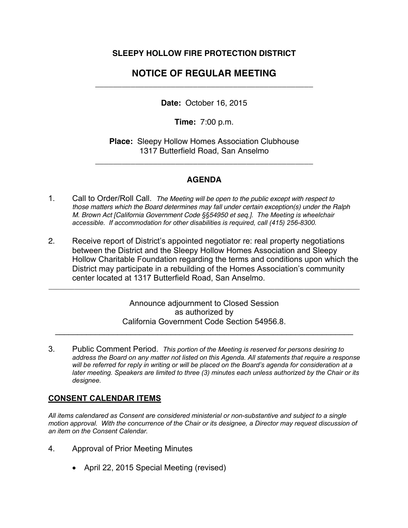# **SLEEPY HOLLOW FIRE PROTECTION DISTRICT**

# **NOTICE OF REGULAR MEETING**  \_\_\_\_\_\_\_\_\_\_\_\_\_\_\_\_\_\_\_\_\_\_\_\_\_\_\_\_\_\_\_\_\_\_\_\_\_\_\_\_\_\_\_\_\_\_\_\_\_

**Date:** October 16, 2015

**Time:** 7:00 p.m.

**Place:** Sleepy Hollow Homes Association Clubhouse 1317 Butterfield Road, San Anselmo

\_\_\_\_\_\_\_\_\_\_\_\_\_\_\_\_\_\_\_\_\_\_\_\_\_\_\_\_\_\_\_\_\_\_\_\_\_\_\_\_\_\_\_\_\_\_\_\_\_

# **AGENDA**

- 1. Call to Order/Roll Call. *The Meeting will be open to the public except with respect to those matters which the Board determines may fall under certain exception(s) under the Ralph M. Brown Act [California Government Code §§54950 et seq.]. The Meeting is wheelchair accessible. If accommodation for other disabilities is required, call (415) 256-8300.*
- 2. Receive report of District's appointed negotiator re: real property negotiations between the District and the Sleepy Hollow Homes Association and Sleepy Hollow Charitable Foundation regarding the terms and conditions upon which the District may participate in a rebuilding of the Homes Association's community center located at 1317 Butterfield Road, San Anselmo.

**\_\_\_\_\_\_\_\_\_\_\_\_\_\_\_\_\_\_\_\_\_\_\_\_\_\_\_\_\_\_\_\_\_\_\_\_\_\_\_\_\_\_\_\_\_\_\_\_\_\_\_\_\_\_\_\_\_\_\_\_\_\_\_\_\_\_\_\_\_\_\_\_\_\_\_\_\_\_\_\_\_\_\_\_**

Announce adjournment to Closed Session as authorized by California Government Code Section 54956.8.

 $\mathcal{L}_\text{max} = \mathcal{L}_\text{max} = \mathcal{L}_\text{max} = \mathcal{L}_\text{max} = \mathcal{L}_\text{max} = \mathcal{L}_\text{max} = \mathcal{L}_\text{max} = \mathcal{L}_\text{max} = \mathcal{L}_\text{max} = \mathcal{L}_\text{max} = \mathcal{L}_\text{max} = \mathcal{L}_\text{max} = \mathcal{L}_\text{max} = \mathcal{L}_\text{max} = \mathcal{L}_\text{max} = \mathcal{L}_\text{max} = \mathcal{L}_\text{max} = \mathcal{L}_\text{max} = \mathcal{$ 

3. Public Comment Period. *This portion of the Meeting is reserved for persons desiring to address the Board on any matter not listed on this Agenda. All statements that require a response will be referred for reply in writing or will be placed on the Board's agenda for consideration at a later meeting. Speakers are limited to three (3) minutes each unless authorized by the Chair or its designee.* 

### **CONSENT CALENDAR ITEMS**

*All items calendared as Consent are considered ministerial or non-substantive and subject to a single motion approval. With the concurrence of the Chair or its designee, a Director may request discussion of an item on the Consent Calendar.*

- 4. Approval of Prior Meeting Minutes
	- April 22, 2015 Special Meeting (revised)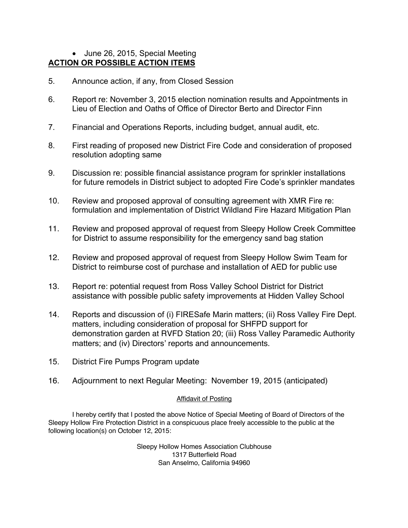### • June 26, 2015, Special Meeting **ACTION OR POSSIBLE ACTION ITEMS**

- 5. Announce action, if any, from Closed Session
- 6. Report re: November 3, 2015 election nomination results and Appointments in Lieu of Election and Oaths of Office of Director Berto and Director Finn
- 7. Financial and Operations Reports, including budget, annual audit, etc.
- 8. First reading of proposed new District Fire Code and consideration of proposed resolution adopting same
- 9. Discussion re: possible financial assistance program for sprinkler installations for future remodels in District subject to adopted Fire Code's sprinkler mandates
- 10. Review and proposed approval of consulting agreement with XMR Fire re: formulation and implementation of District Wildland Fire Hazard Mitigation Plan
- 11. Review and proposed approval of request from Sleepy Hollow Creek Committee for District to assume responsibility for the emergency sand bag station
- 12. Review and proposed approval of request from Sleepy Hollow Swim Team for District to reimburse cost of purchase and installation of AED for public use
- 13. Report re: potential request from Ross Valley School District for District assistance with possible public safety improvements at Hidden Valley School
- 14. Reports and discussion of (i) FIRESafe Marin matters; (ii) Ross Valley Fire Dept. matters, including consideration of proposal for SHFPD support for demonstration garden at RVFD Station 20; (iii) Ross Valley Paramedic Authority matters; and (iv) Directors' reports and announcements.
- 15. District Fire Pumps Program update
- 16. Adjournment to next Regular Meeting: November 19, 2015 (anticipated)

#### Affidavit of Posting

I hereby certify that I posted the above Notice of Special Meeting of Board of Directors of the Sleepy Hollow Fire Protection District in a conspicuous place freely accessible to the public at the following location(s) on October 12, 2015:

> Sleepy Hollow Homes Association Clubhouse 1317 Butterfield Road San Anselmo, California 94960